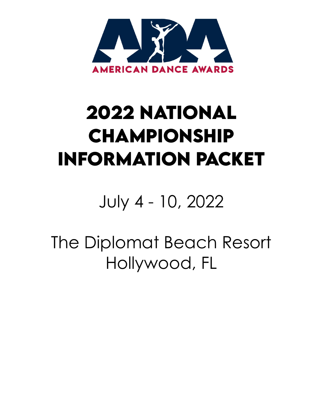

# **2022 NATiONAL CHAMPiONSHiP INFORMATiON PACKET**

# July 4 - 10, 2022

The Diplomat Beach Resort Hollywood, FL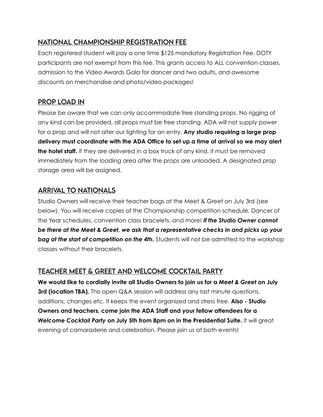## NATIONAL CHAMPIONSHIP REGISTRATION FEE

Each registered student will pay a one time \$125 mandatory Registration Fee. DOTY participants are not exempt from this fee. This grants access to ALL convention classes, admission to the Video Awards Gala for dancer and two adults, and awesome discounts on merchandise and photo/video packages!

## PROP LOAD IN

Please be aware that we can only accommodate free standing props. No rigging of any kind can be provided, all props must be free standing. ADA will not supply power for a prop and will not alter our lighting for an entry. **Any studio requiring a large prop delivery must coordinate with the ADA Office to set up a time of arrival so we may alert the hotel staff.** If they are delivered in a box truck of any kind, it must be removed immediately from the loading area after the props are unloaded. A designated prop storage area will be assigned.

## ARRiVAL TO NATiONALS

Studio Owners will receive their teacher bags at the Meet & Greet on July 3rd (see below). You will receive copies of the Championship competition schedule, Dancer of the Year schedules, convention class bracelets, and more! *If the Studio Owner cannot be there at the Meet & Greet, we ask that a representative checks in and picks up your*  **bag at the start of competition on the 4th.** Students will not be admitted to the workshop classes without their bracelets.

## TEACHER MEET & GREET AND WELCOME COCKTAiL PARTY

**We would like to cordially invite all Studio Owners to join us for a** *Meet & Greet* **on July 3rd (location TBA).** This open Q&A session will address any last minute questions, additions, changes etc. It keeps the event organized and stress free. **Also - Studio Owners and teachers, come join the ADA Staff and your fellow attendees for a**  *Welcome Cocktail Party* **on July 5th from 8pm on in the Presidential Suite.** It will great evening of camaraderie and celebration. Please join us at both events!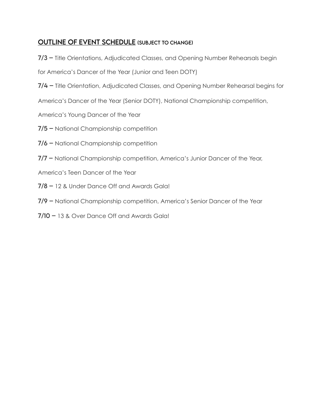## OUTLiNE OF EVENT SCHEDULE (SUBJECT TO CHANGE)

7/3 – Title Orientations, Adjudicated Classes, and Opening Number Rehearsals begin

for America's Dancer of the Year (Junior and Teen DOTY)

7/4 – Title Orientation, Adjudicated Classes, and Opening Number Rehearsal begins for

America's Dancer of the Year (Senior DOTY), National Championship competition,

America's Young Dancer of the Year

- 7/5 National Championship competition
- 7/6 National Championship competition
- 7/7 National Championship competition, America's Junior Dancer of the Year,

America's Teen Dancer of the Year

- 7/8 12 & Under Dance Off and Awards Gala!
- 7/9 National Championship competition, America's Senior Dancer of the Year
- 7/10 13 & Over Dance Off and Awards Gala!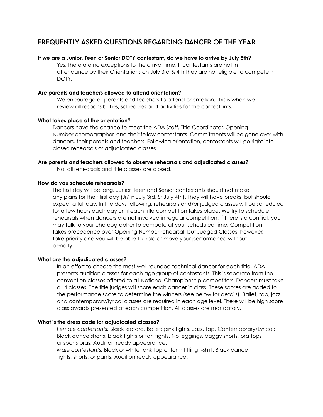### FREQUENTLY ASKED QUESTiONS REGARDiNG DANCER OF THE YEAR

#### **If we are a Junior, Teen or Senior DOTY contestant, do we have to arrive by July 8th?**

Yes, there are no exceptions to the arrival time. If contestants are not in attendance by their Orientations on July 3rd & 4th they are not eligible to compete in DOTY.

#### **Are parents and teachers allowed to attend orientation?**

We encourage all parents and teachers to attend orientation. This is when we review all responsibilities, schedules and activities for the contestants.

#### **What takes place at the orientation?**

Dancers have the chance to meet the ADA Staff, Title Coordinator, Opening Number choreographer, and their fellow contestants. Commitments will be gone over with dancers, their parents and teachers. Following orientation, contestants will go right into closed rehearsals or adjudicated classes.

#### **Are parents and teachers allowed to observe rehearsals and adjudicated classes?**

No, all rehearsals and title classes are closed.

#### **How do you schedule rehearsals?**

The first day will be long. Junior, Teen and Senior contestants should not make any plans for their first day (Jr/Tn July 3rd, Sr July 4th). They will have breaks, but should expect a full day. In the days following, rehearsals and/or judged classes will be scheduled for a few hours each day until each title competition takes place. We try to schedule rehearsals when dancers are not involved in regular competition. If there is a conflict, you may talk to your choreographer to compete at your scheduled time. Competition takes precedence over Opening Number rehearsal, but Judged Classes, however, take priority and you will be able to hold or move your performance without penalty.

#### **What are the adjudicated classes?**

In an effort to choose the most well-rounded technical dancer for each title, ADA presents audition classes for each age group of contestants. This is separate from the convention classes offered to all National Championship competitors. Dancers must take all 4 classes. The title judges will score each dancer in class. These scores are added to the performance score to determine the winners (see below for details). Ballet, tap, jazz and contemporary/lyrical classes are required in each age level. There will be high score class awards presented at each competition. All classes are mandatory.

#### **What is the dress code for adjudicated classes?**

*Female contestants:* Black leotard. Ballet: pink tights. Jazz, Tap, Contemporary/Lyrical: Black dance shorts, black tights or tan tights. No leggings, baggy shorts, bra tops or sports bras. Audition ready appearance.

*Male contestants:* Black or white tank top or form fitting t-shirt. Black dance tights, shorts, or pants. Audition ready appearance.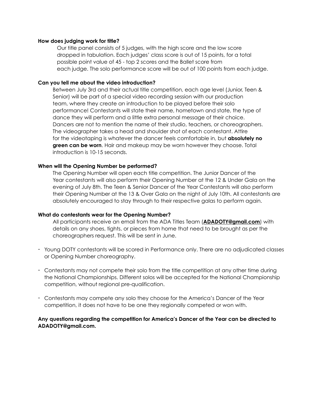#### **How does judging work for title?**

Our title panel consists of 5 judges, with the high score and the low score dropped in tabulation. Each judges' class score is out of 15 points, for a total possible point value of 45 - top 2 scores and the Ballet score from each judge. The solo performance score will be out of 100 points from each judge.

#### **Can you tell me about the video introduction?**

Between July 3rd and their actual title competition, each age level (Junior, Teen & Senior) will be part of a special video recording session with our production team, where they create an introduction to be played before their solo performance! Contestants will state their name, hometown and state, the type of dance they will perform and a little extra personal message of their choice. Dancers are not to mention the name of their studio, teachers, or choreographers. The videographer takes a head and shoulder shot of each contestant. Attire for the videotaping is whatever the dancer feels comfortable in, but **absolutely no green can be worn**. Hair and makeup may be worn however they choose. Total introduction is 10-15 seconds.

#### **When will the Opening Number be performed?**

The Opening Number will open each title competition. The Junior Dancer of the Year contestants will also perform their Opening Number at the 12 & Under Gala on the evening of July 8th. The Teen & Senior Dancer of the Year Contestants will also perform their Opening Number at the 13 & Over Gala on the night of July 10th. All contestants are absolutely encouraged to stay through to their respective galas to perform again.

#### **What do contestants wear for the Opening Number?**

All participants receive an email from the ADA Titles Team (**[ADADOTY@gmail.com](mailto:ADADOTY@gmail.com)**) with details on any shoes, tights, or pieces from home that need to be brought as per the choreographers request. This will be sent in June.

- Young DOTY contestants will be scored in Performance only. There are no adjudicated classes or Opening Number choreography.
- Contestants may not compete their solo from the title competition at any other time during the National Championships. Different solos will be accepted for the National Championship competition, without regional pre-qualification.
- Contestants may compete any solo they choose for the America's Dancer of the Year competition, it does not have to be one they regionally competed or won with.

#### **Any questions regarding the competition for America's Dancer of the Year can be directed to ADADOTY@gmail.com.**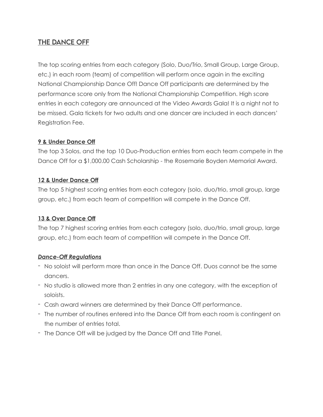## THE DANCE OFF

The top scoring entries from each category (Solo, Duo/Trio, Small Group, Large Group, etc.) in each room (team) of competition will perform once again in the exciting National Championship Dance Off! Dance Off participants are determined by the performance score only from the National Championship Competition. High score entries in each category are announced at the Video Awards Gala! It is a night not to be missed. Gala tickets for two adults and one dancer are included in each dancers' Registration Fee.

#### **9 & Under Dance Off**

The top 3 Solos, and the top 10 Duo-Production entries from each team compete in the Dance Off for a \$1,000.00 Cash Scholarship - the Rosemarie Boyden Memorial Award.

#### **12 & Under Dance Off**

The top 5 highest scoring entries from each category (solo, duo/trio, small group, large group, etc.) from each team of competition will compete in the Dance Off.

#### **13 & Over Dance Off**

The top 7 highest scoring entries from each category (solo, duo/trio, small group, large group, etc.) from each team of competition will compete in the Dance Off.

#### *Dance-Off Regulations*

- No soloist will perform more than once in the Dance Off. Duos cannot be the same dancers.
- No studio is allowed more than 2 entries in any one category, with the exception of soloists.
- Cash award winners are determined by their Dance Off performance.
- The number of routines entered into the Dance Off from each room is contingent on the number of entries total.
- The Dance Off will be judged by the Dance Off and Title Panel.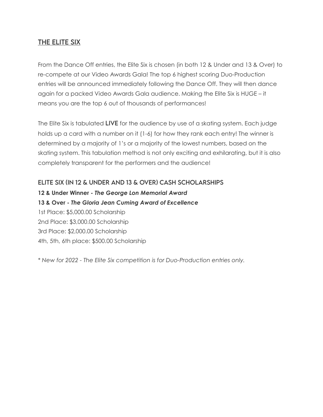## THE ELiTE SiX

From the Dance Off entries, the Elite Six is chosen (in both 12 & Under and 13 & Over) to re-compete at our Video Awards Gala! The top 6 highest scoring Duo-Production entries will be announced immediately following the Dance Off. They will then dance again for a packed Video Awards Gala audience. Making the Elite Six is HUGE – it means you are the top 6 out of thousands of performances!

The Elite Six is tabulated LIVE for the audience by use of a skating system. Each judge holds up a card with a number on it (1-6) for how they rank each entry! The winner is determined by a majority of 1's or a majority of the lowest numbers, based on the skating system. This tabulation method is not only exciting and exhilarating, but it is also completely transparent for the performers and the audience!

#### ELiTE SiX (iN 12 & UNDER AND 13 & OVER) CASH SCHOLARSHiPS

**12 & Under Winner -** *The George Lon Memorial Award* **13 & Over -** *The Gloria Jean Cuming Award of Excellence* 1st Place: \$5,000.00 Scholarship 2nd Place: \$3,000.00 Scholarship 3rd Place: \$2,000.00 Scholarship 4th, 5th, 6th place: \$500.00 Scholarship

*\* New for 2022 - The Elite Six competition is for Duo-Production entries only.*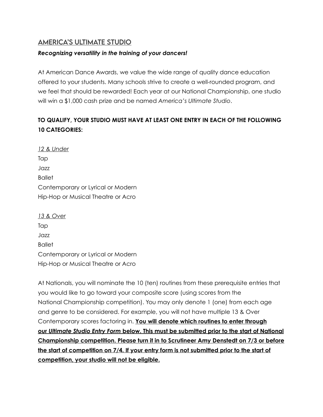### AMERiCA'S ULTiMATE STUDiO

#### *Recognizing versatility in the training of your dancers!*

At American Dance Awards, we value the wide range of quality dance education offered to your students. Many schools strive to create a well-rounded program, and we feel that should be rewarded! Each year at our National Championship, one studio will win a \$1,000 cash prize and be named *America's Ultimate Studio*.

## **TO QUALIFY, YOUR STUDIO MUST HAVE AT LEAST ONE ENTRY IN EACH OF THE FOLLOWING 10 CATEGORIES:**

*12 & Under* Tap Jazz Ballet Contemporary or Lyrical or Modern Hip-Hop or Musical Theatre or Acro

| 13 & Over                          |
|------------------------------------|
| Tap                                |
| Jazz                               |
| <b>Ballet</b>                      |
| Contemporary or Lyrical or Modern  |
| Hip-Hop or Musical Theatre or Acro |

At Nationals, you will nominate the 10 (ten) routines from these prerequisite entries that you would like to go toward your composite score (using scores from the National Championship competition). You may only denote 1 (one) from each age and genre to be considered. For example, you will not have multiple 13 & Over Contemporary scores factoring in. **You will denote which routines to enter through our** *Ultimate Studio Entry Form* **below. This must be submitted prior to the start of National Championship competition. Please turn it in to Scrutineer Amy Denstedt on 7/3 or before the start of competition on 7/4. If your entry form is not submitted prior to the start of competition, your studio will not be eligible.**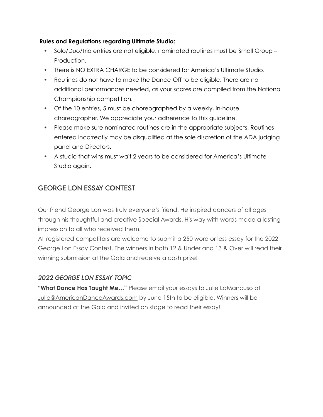#### **Rules and Regulations regarding Ultimate Studio:**

- Solo/Duo/Trio entries are not eligible, nominated routines must be Small Group Production.
- There is NO EXTRA CHARGE to be considered for America's Ultimate Studio.
- Routines do not have to make the Dance-Off to be eligible. There are no additional performances needed, as your scores are compiled from the National Championship competition.
- Of the 10 entries, 5 must be choreographed by a weekly, in-house choreographer. We appreciate your adherence to this guideline.
- Please make sure nominated routines are in the appropriate subjects. Routines entered incorrectly may be disqualified at the sole discretion of the ADA judging panel and Directors.
- A studio that wins must wait 2 years to be considered for America's Ultimate Studio again.

## GEORGE LON ESSAY CONTEST

Our friend George Lon was truly everyone's friend. He inspired dancers of all ages through his thoughtful and creative Special Awards. His way with words made a lasting impression to all who received them.

All registered competitors are welcome to submit a 250 word or less essay for the 2022 George Lon Essay Contest. The winners in both 12 & Under and 13 & Over will read their winning submission at the Gala and receive a cash prize!

### *2022 GEORGE LON ESSAY TOPiC*

**"What Dance Has Taught Me…"** Please email your essays to Julie LaMancuso at [Julie@AmericanDanceAwards.com](mailto:julie@AmericanDanceAwards.com) by June 15th to be eligible. Winners will be announced at the Gala and invited on stage to read their essay!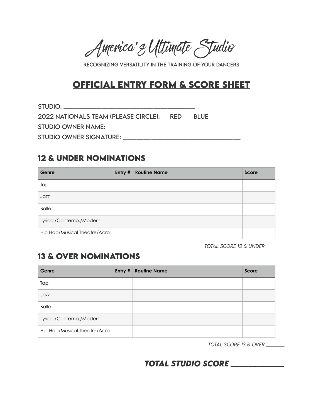America's Ultimate Studio

RECOGNiZiNG VERSATiLiTY iN THE TRAiNiNG OF YOUR DANCERS

# **OFFiCiAL ENTRY FORM & SCORE SHEET**

STUDiO: \_\_\_\_\_\_\_\_\_\_\_\_\_\_\_\_\_\_\_\_\_\_\_\_\_\_\_\_\_\_\_\_\_\_\_\_\_\_ 2022 NATiONALS TEAM (PLEASE CiRCLE): RED BLUE STUDiO OWNER NAME: \_\_\_\_\_\_\_\_\_\_\_\_\_\_\_\_\_\_\_\_\_\_\_\_\_\_\_\_\_\_\_\_\_\_\_\_\_\_ STUDiO OWNER SiGNATURE: \_\_\_\_\_\_\_\_\_\_\_\_\_\_\_\_\_\_\_\_\_\_\_\_\_\_\_\_\_\_\_\_\_\_

## **12 & UNDER NOMiNATiONS**

| Genre                        | Entry # | <b>Routine Name</b> | Score |
|------------------------------|---------|---------------------|-------|
| Tap                          |         |                     |       |
| Jazz                         |         |                     |       |
| <b>Ballet</b>                |         |                     |       |
| Lyrical/Contemp./Modern      |         |                     |       |
| Hip Hop/Musical Theatre/Acro |         |                     |       |

*TOTAL SCORE 12 & UNDER \_\_\_\_\_\_\_*

## **13 & OVER NOMiNATiONS**

| Genre                        | Entry # | <b>Routine Name</b> | Score |
|------------------------------|---------|---------------------|-------|
| Tap                          |         |                     |       |
| Jazz                         |         |                     |       |
| <b>Ballet</b>                |         |                     |       |
| Lyrical/Contemp./Modern      |         |                     |       |
| Hip Hop/Musical Theatre/Acro |         |                     |       |

*TOTAL SCORE 13 & OVER \_\_\_\_\_\_\_*

*TOTAL STUDiO SCORE \_\_\_\_\_\_\_\_\_\_\_\_*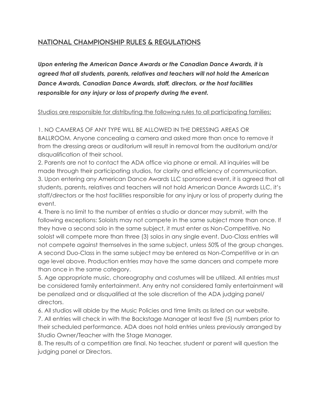## NATiONAL CHAMPiONSHiP RULES & REGULATiONS

*Upon entering the American Dance Awards or the Canadian Dance Awards, it is agreed that all students, parents, relatives and teachers will not hold the American Dance Awards, Canadian Dance Awards, staff, directors, or the host facilities responsible for any injury or loss of property during the event.*

#### Studios are responsible for distributing the following rules to all participating families:

1. NO CAMERAS OF ANY TYPE WILL BE ALLOWED IN THE DRESSING AREAS OR BALLROOM. Anyone concealing a camera and asked more than once to remove it from the dressing areas or auditorium will result in removal from the auditorium and/or disqualification of their school.

2. Parents are not to contact the ADA office via phone or email. All inquiries will be made through their participating studios, for clarity and efficiency of communication. 3. Upon entering any American Dance Awards LLC sponsored event, it is agreed that all students, parents, relatives and teachers will not hold American Dance Awards LLC, it's staff/directors or the host facilities responsible for any injury or loss of property during the event.

4. There is no limit to the number of entries a studio or dancer may submit, with the following exceptions: Soloists may not compete in the same subject more than once. If they have a second solo in the same subject, it must enter as Non-Competitive. No soloist will compete more than three (3) solos in any single event. Duo-Class entries will not compete against themselves in the same subject, unless 50% of the group changes. A second Duo-Class in the same subject may be entered as Non-Competitive or in an age level above. Production entries may have the same dancers and compete more than once in the same category.

5. Age appropriate music, choreography and costumes will be utilized. All entries must be considered family entertainment. Any entry not considered family entertainment will be penalized and or disqualified at the sole discretion of the ADA judging panel/ directors.

6. All studios will abide by the Music Policies and time limits as listed on our website. 7. All entries will check in with the Backstage Manager at least five (5) numbers prior to their scheduled performance. ADA does not hold entries unless previously arranged by Studio Owner/Teacher with the Stage Manager.

8. The results of a competition are final. No teacher, student or parent will question the judging panel or Directors.